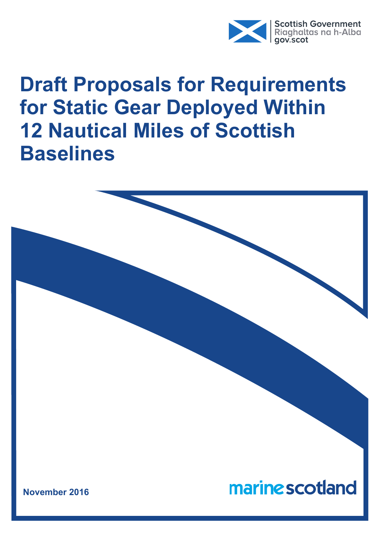

# **Draft Proposals for Requirements for Static Gear Deployed Within 12 Nautical Miles of Scottish Baselines**

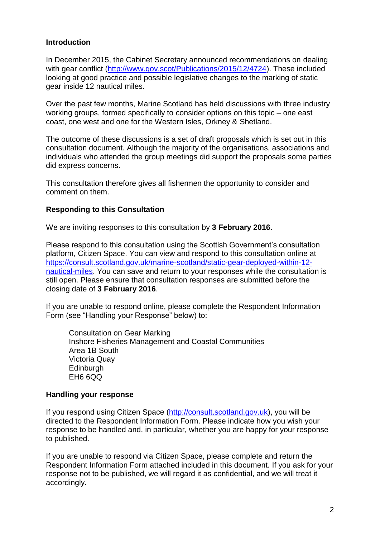#### **Introduction**

In December 2015, the Cabinet Secretary announced recommendations on dealing with gear conflict [\(http://www.gov.scot/Publications/2015/12/4724\)](http://www.gov.scot/Publications/2015/12/4724). These included looking at good practice and possible legislative changes to the marking of static gear inside 12 nautical miles.

Over the past few months, Marine Scotland has held discussions with three industry working groups, formed specifically to consider options on this topic – one east coast, one west and one for the Western Isles, Orkney & Shetland.

The outcome of these discussions is a set of draft proposals which is set out in this consultation document. Although the majority of the organisations, associations and individuals who attended the group meetings did support the proposals some parties did express concerns.

This consultation therefore gives all fishermen the opportunity to consider and comment on them.

# **Responding to this Consultation**

We are inviting responses to this consultation by **3 February 2016**.

Please respond to this consultation using the Scottish Government's consultation platform, Citizen Space. You can view and respond to this consultation online at [https://consult.scotland.gov.uk/marine-scotland/static-gear-deployed-within-12](https://consult.scotland.gov.uk/marine-scotland/static-gear-deployed-within-12-nautical-miles) [nautical-miles.](https://consult.scotland.gov.uk/marine-scotland/static-gear-deployed-within-12-nautical-miles) You can save and return to your responses while the consultation is still open. Please ensure that consultation responses are submitted before the closing date of **3 February 2016**.

If you are unable to respond online, please complete the Respondent Information Form (see "Handling your Response" below) to:

Consultation on Gear Marking Inshore Fisheries Management and Coastal Communities Area 1B South Victoria Quay **Edinburgh** EH6 6QQ

#### **Handling your response**

If you respond using Citizen Space [\(http://consult.scotland.gov.uk\)](http://consult.scotland.gov.uk/), you will be directed to the Respondent Information Form. Please indicate how you wish your response to be handled and, in particular, whether you are happy for your response to published.

If you are unable to respond via Citizen Space, please complete and return the Respondent Information Form attached included in this document. If you ask for your response not to be published, we will regard it as confidential, and we will treat it accordingly.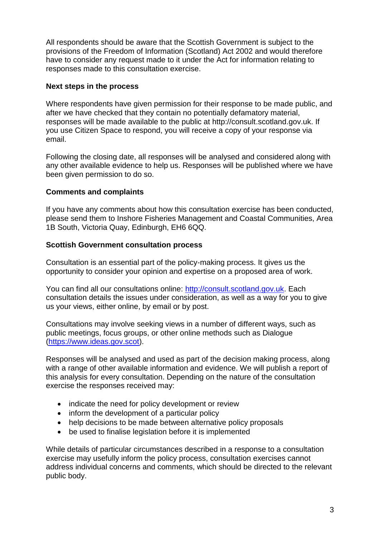All respondents should be aware that the Scottish Government is subject to the provisions of the Freedom of Information (Scotland) Act 2002 and would therefore have to consider any request made to it under the Act for information relating to responses made to this consultation exercise.

#### **Next steps in the process**

Where respondents have given permission for their response to be made public, and after we have checked that they contain no potentially defamatory material, responses will be made available to the public at http://consult.scotland.gov.uk. If you use Citizen Space to respond, you will receive a copy of your response via email.

Following the closing date, all responses will be analysed and considered along with any other available evidence to help us. Responses will be published where we have been given permission to do so.

# **Comments and complaints**

If you have any comments about how this consultation exercise has been conducted, please send them to Inshore Fisheries Management and Coastal Communities, Area 1B South, Victoria Quay, Edinburgh, EH6 6QQ.

#### **Scottish Government consultation process**

Consultation is an essential part of the policy-making process. It gives us the opportunity to consider your opinion and expertise on a proposed area of work.

You can find all our consultations online: [http://consult.scotland.gov.uk.](http://consult.scotland.gov.uk/) Each consultation details the issues under consideration, as well as a way for you to give us your views, either online, by email or by post.

Consultations may involve seeking views in a number of different ways, such as public meetings, focus groups, or other online methods such as Dialogue [\(https://www.ideas.gov.scot\)](https://www.ideas.gov.scot/).

Responses will be analysed and used as part of the decision making process, along with a range of other available information and evidence. We will publish a report of this analysis for every consultation. Depending on the nature of the consultation exercise the responses received may:

- indicate the need for policy development or review
- inform the development of a particular policy
- help decisions to be made between alternative policy proposals
- be used to finalise legislation before it is implemented

While details of particular circumstances described in a response to a consultation exercise may usefully inform the policy process, consultation exercises cannot address individual concerns and comments, which should be directed to the relevant public body.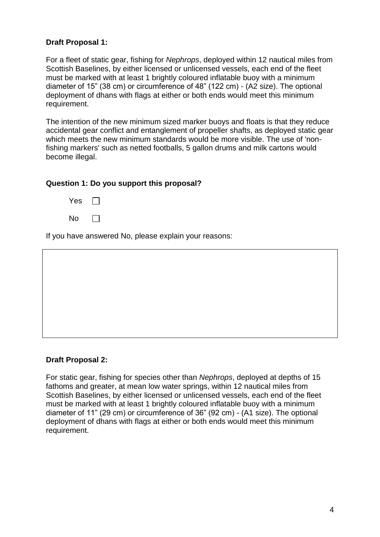# **Draft Proposal 1:**

For a fleet of static gear, fishing for *Nephrops*, deployed within 12 nautical miles from Scottish Baselines, by either licensed or unlicensed vessels, each end of the fleet must be marked with at least 1 brightly coloured inflatable buoy with a minimum diameter of 15" (38 cm) or circumference of 48" (122 cm) - (A2 size). The optional deployment of dhans with flags at either or both ends would meet this minimum requirement.

The intention of the new minimum sized marker buoys and floats is that they reduce accidental gear conflict and entanglement of propeller shafts, as deployed static gear which meets the new minimum standards would be more visible. The use of 'nonfishing markers' such as netted footballs, 5 gallon drums and milk cartons would become illegal.

#### **Question 1: Do you support this proposal?**

| Yes |  |
|-----|--|
| No  |  |

If you have answered No, please explain your reasons:

#### **Draft Proposal 2:**

For static gear, fishing for species other than *Nephrops*, deployed at depths of 15 fathoms and greater, at mean low water springs, within 12 nautical miles from Scottish Baselines, by either licensed or unlicensed vessels, each end of the fleet must be marked with at least 1 brightly coloured inflatable buoy with a minimum diameter of 11" (29 cm) or circumference of 36" (92 cm) - (A1 size). The optional deployment of dhans with flags at either or both ends would meet this minimum requirement.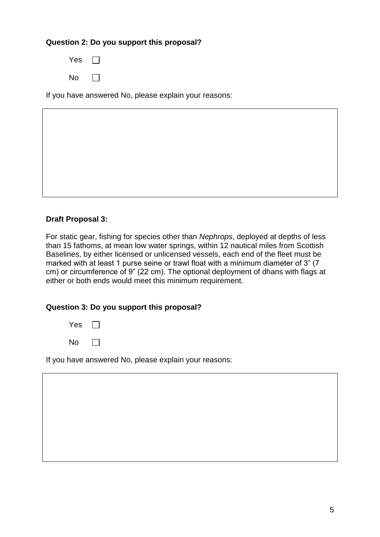# **Question 2: Do you support this proposal?**

| Yes |  |
|-----|--|
| No  |  |

If you have answered No, please explain your reasons:

# **Draft Proposal 3:**

For static gear, fishing for species other than *Nephrops*, deployed at depths of less than 15 fathoms, at mean low water springs, within 12 nautical miles from Scottish Baselines, by either licensed or unlicensed vessels, each end of the fleet must be marked with at least 1 purse seine or trawl float with a minimum diameter of 3" (7 cm) or circumference of 9" (22 cm). The optional deployment of dhans with flags at either or both ends would meet this minimum requirement.

#### **Question 3: Do you support this proposal?**

| Yes |  |
|-----|--|
| No  |  |

If you have answered No, please explain your reasons:

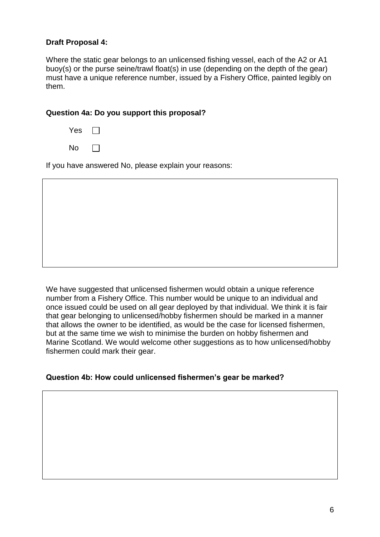#### **Draft Proposal 4:**

Where the static gear belongs to an unlicensed fishing vessel, each of the A2 or A1 buoy(s) or the purse seine/trawl float(s) in use (depending on the depth of the gear) must have a unique reference number, issued by a Fishery Office, painted legibly on them.

#### **Question 4a: Do you support this proposal?**

| Yes       |  |
|-----------|--|
| <b>No</b> |  |

If you have answered No, please explain your reasons:

We have suggested that unlicensed fishermen would obtain a unique reference number from a Fishery Office. This number would be unique to an individual and once issued could be used on all gear deployed by that individual. We think it is fair that gear belonging to unlicensed/hobby fishermen should be marked in a manner that allows the owner to be identified, as would be the case for licensed fishermen, but at the same time we wish to minimise the burden on hobby fishermen and Marine Scotland. We would welcome other suggestions as to how unlicensed/hobby fishermen could mark their gear.

# **Question 4b: How could unlicensed fishermen's gear be marked?**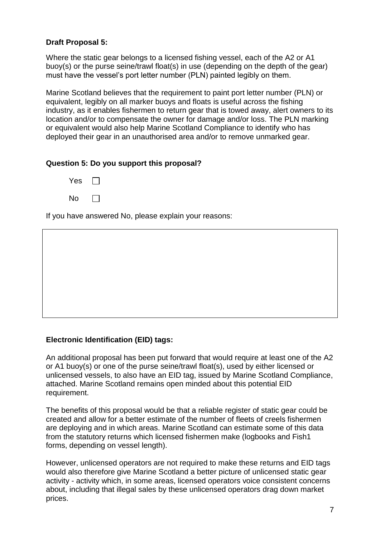# **Draft Proposal 5:**

Where the static gear belongs to a licensed fishing vessel, each of the A2 or A1 buoy(s) or the purse seine/trawl float(s) in use (depending on the depth of the gear) must have the vessel's port letter number (PLN) painted legibly on them.

Marine Scotland believes that the requirement to paint port letter number (PLN) or equivalent, legibly on all marker buoys and floats is useful across the fishing industry, as it enables fishermen to return gear that is towed away, alert owners to its location and/or to compensate the owner for damage and/or loss. The PLN marking or equivalent would also help Marine Scotland Compliance to identify who has deployed their gear in an unauthorised area and/or to remove unmarked gear.

# **Question 5: Do you support this proposal?**



If you have answered No, please explain your reasons:

# **Electronic Identification (EID) tags:**

An additional proposal has been put forward that would require at least one of the A2 or A1 buoy(s) or one of the purse seine/trawl float(s), used by either licensed or unlicensed vessels, to also have an EID tag, issued by Marine Scotland Compliance, attached. Marine Scotland remains open minded about this potential EID requirement.

The benefits of this proposal would be that a reliable register of static gear could be created and allow for a better estimate of the number of fleets of creels fishermen are deploying and in which areas. Marine Scotland can estimate some of this data from the statutory returns which licensed fishermen make (logbooks and Fish1 forms, depending on vessel length).

However, unlicensed operators are not required to make these returns and EID tags would also therefore give Marine Scotland a better picture of unlicensed static gear activity - activity which, in some areas, licensed operators voice consistent concerns about, including that illegal sales by these unlicensed operators drag down market prices.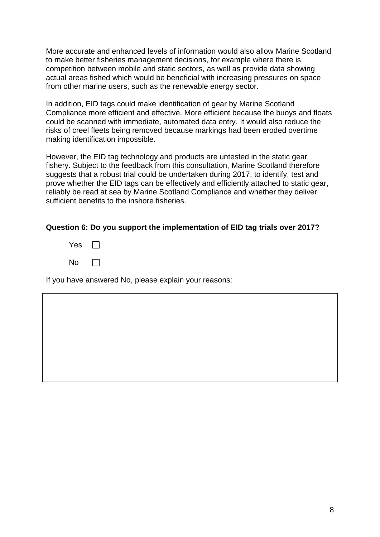More accurate and enhanced levels of information would also allow Marine Scotland to make better fisheries management decisions, for example where there is competition between mobile and static sectors, as well as provide data showing actual areas fished which would be beneficial with increasing pressures on space from other marine users, such as the renewable energy sector.

In addition, EID tags could make identification of gear by Marine Scotland Compliance more efficient and effective. More efficient because the buoys and floats could be scanned with immediate, automated data entry. It would also reduce the risks of creel fleets being removed because markings had been eroded overtime making identification impossible.

However, the EID tag technology and products are untested in the static gear fishery. Subject to the feedback from this consultation, Marine Scotland therefore suggests that a robust trial could be undertaken during 2017, to identify, test and prove whether the EID tags can be effectively and efficiently attached to static gear, reliably be read at sea by Marine Scotland Compliance and whether they deliver sufficient benefits to the inshore fisheries.

#### **Question 6: Do you support the implementation of EID tag trials over 2017?**

| Yes |  |
|-----|--|
| No  |  |

If you have answered No, please explain your reasons: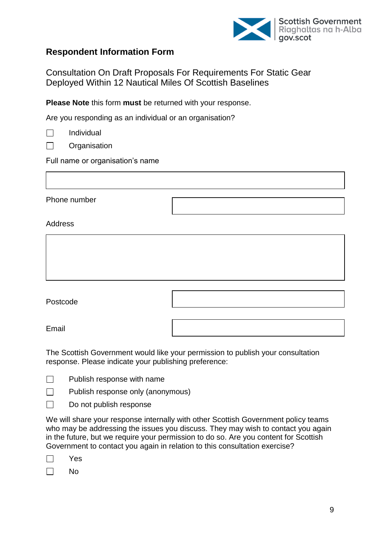

# **Respondent Information Form**

Consultation On Draft Proposals For Requirements For Static Gear Deployed Within 12 Nautical Miles Of Scottish Baselines

**Please Note** this form **must** be returned with your response.

Are you responding as an individual or an organisation?

| Individual |
|------------|
|            |

 $\Box$ **Organisation** 

Full name or organisation's name

Phone number

#### Address



Email

The Scottish Government would like your permission to publish your consultation response. Please indicate your publishing preference:

- $\Box$ Publish response with name
- $\Box$ Publish response only (anonymous)

 $\Box$ Do not publish response

We will share your response internally with other Scottish Government policy teams who may be addressing the issues you discuss. They may wish to contact you again in the future, but we require your permission to do so. Are you content for Scottish Government to contact you again in relation to this consultation exercise?

|--|--|

 $\Box$ No